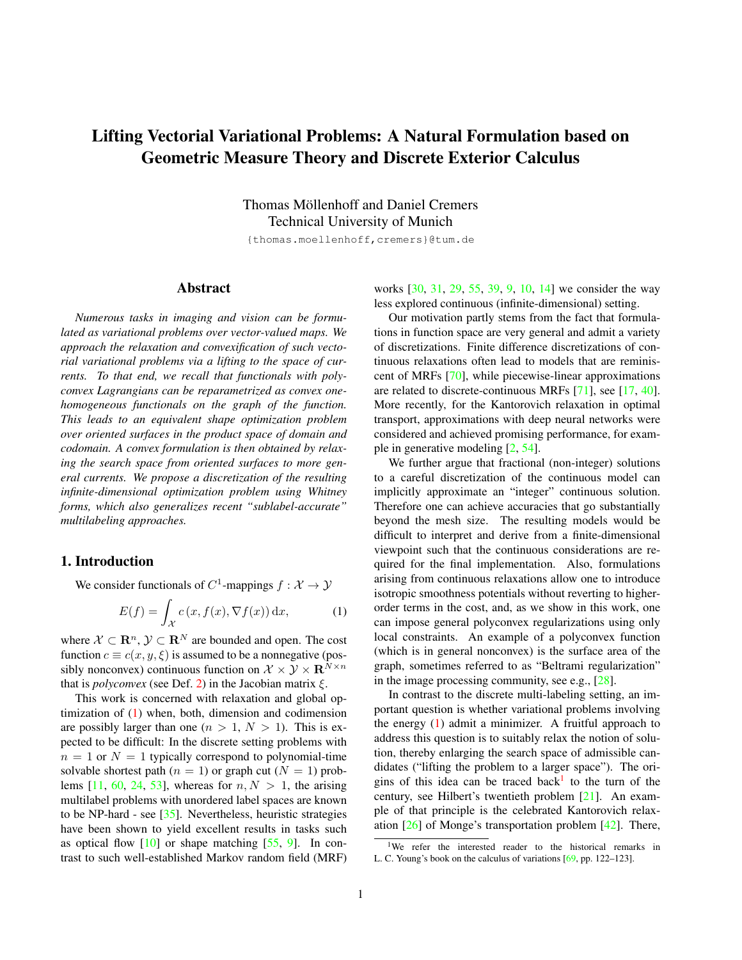# <span id="page-0-2"></span>Lifting Vectorial Variational Problems: A Natural Formulation based on Geometric Measure Theory and Discrete Exterior Calculus

Thomas Möllenhoff and Daniel Cremers Technical University of Munich

{thomas.moellenhoff,cremers}@tum.de

# Abstract

*Numerous tasks in imaging and vision can be formulated as variational problems over vector-valued maps. We approach the relaxation and convexification of such vectorial variational problems via a lifting to the space of currents. To that end, we recall that functionals with polyconvex Lagrangians can be reparametrized as convex onehomogeneous functionals on the graph of the function. This leads to an equivalent shape optimization problem over oriented surfaces in the product space of domain and codomain. A convex formulation is then obtained by relaxing the search space from oriented surfaces to more general currents. We propose a discretization of the resulting infinite-dimensional optimization problem using Whitney forms, which also generalizes recent "sublabel-accurate" multilabeling approaches.*

# 1. Introduction

We consider functionals of  $C^1$ -mappings  $f : \mathcal{X} \to \mathcal{Y}$ 

<span id="page-0-0"></span>
$$
E(f) = \int_{\mathcal{X}} c(x, f(x), \nabla f(x)) dx,
$$
 (1)

where  $X \subset \mathbb{R}^n$ ,  $\mathcal{Y} \subset \mathbb{R}^N$  are bounded and open. The cost function  $c \equiv c(x, y, \xi)$  is assumed to be a nonnegative (possibly nonconvex) continuous function on  $\mathcal{X} \times \mathcal{Y} \times \mathbf{R}^{N \times n}$ that is *polyconvex* (see Def. [2\)](#page-3-0) in the Jacobian matrix  $\xi$ .

This work is concerned with relaxation and global optimization of [\(1\)](#page-0-0) when, both, dimension and codimension are possibly larger than one  $(n > 1, N > 1)$ . This is expected to be difficult: In the discrete setting problems with  $n = 1$  or  $N = 1$  typically correspond to polynomial-time solvable shortest path  $(n = 1)$  or graph cut  $(N = 1)$  prob-lems [\[11,](#page-8-0) [60,](#page-9-0) [24,](#page-8-1) [53\]](#page-9-1), whereas for  $n, N > 1$ , the arising multilabel problems with unordered label spaces are known to be NP-hard - see [\[35\]](#page-8-2). Nevertheless, heuristic strategies have been shown to yield excellent results in tasks such as optical flow  $[10]$  or shape matching  $[55, 9]$  $[55, 9]$  $[55, 9]$ . In contrast to such well-established Markov random field (MRF) works [\[30,](#page-8-5) [31,](#page-8-6) [29,](#page-8-7) [55,](#page-9-2) [39,](#page-9-3) [9,](#page-8-4) [10,](#page-8-3) [14\]](#page-8-8) we consider the way less explored continuous (infinite-dimensional) setting.

Our motivation partly stems from the fact that formulations in function space are very general and admit a variety of discretizations. Finite difference discretizations of continuous relaxations often lead to models that are reminiscent of MRFs [\[70\]](#page-9-4), while piecewise-linear approximations are related to discrete-continuous MRFs [\[71\]](#page-9-5), see [\[17,](#page-8-9) [40\]](#page-9-6). More recently, for the Kantorovich relaxation in optimal transport, approximations with deep neural networks were considered and achieved promising performance, for example in generative modeling [\[2,](#page-8-10) [54\]](#page-9-7).

We further argue that fractional (non-integer) solutions to a careful discretization of the continuous model can implicitly approximate an "integer" continuous solution. Therefore one can achieve accuracies that go substantially beyond the mesh size. The resulting models would be difficult to interpret and derive from a finite-dimensional viewpoint such that the continuous considerations are required for the final implementation. Also, formulations arising from continuous relaxations allow one to introduce isotropic smoothness potentials without reverting to higherorder terms in the cost, and, as we show in this work, one can impose general polyconvex regularizations using only local constraints. An example of a polyconvex function (which is in general nonconvex) is the surface area of the graph, sometimes referred to as "Beltrami regularization" in the image processing community, see e.g., [\[28\]](#page-8-11).

In contrast to the discrete multi-labeling setting, an important question is whether variational problems involving the energy [\(1\)](#page-0-0) admit a minimizer. A fruitful approach to address this question is to suitably relax the notion of solution, thereby enlarging the search space of admissible candidates ("lifting the problem to a larger space"). The ori-gins of this idea can be traced back<sup>[1](#page-0-1)</sup> to the turn of the century, see Hilbert's twentieth problem [\[21\]](#page-8-12). An example of that principle is the celebrated Kantorovich relaxation [\[26\]](#page-8-13) of Monge's transportation problem [\[42\]](#page-9-8). There,

<span id="page-0-1"></span><sup>&</sup>lt;sup>1</sup>We refer the interested reader to the historical remarks in L. C. Young's book on the calculus of variations [\[69,](#page-9-9) pp. 122–123].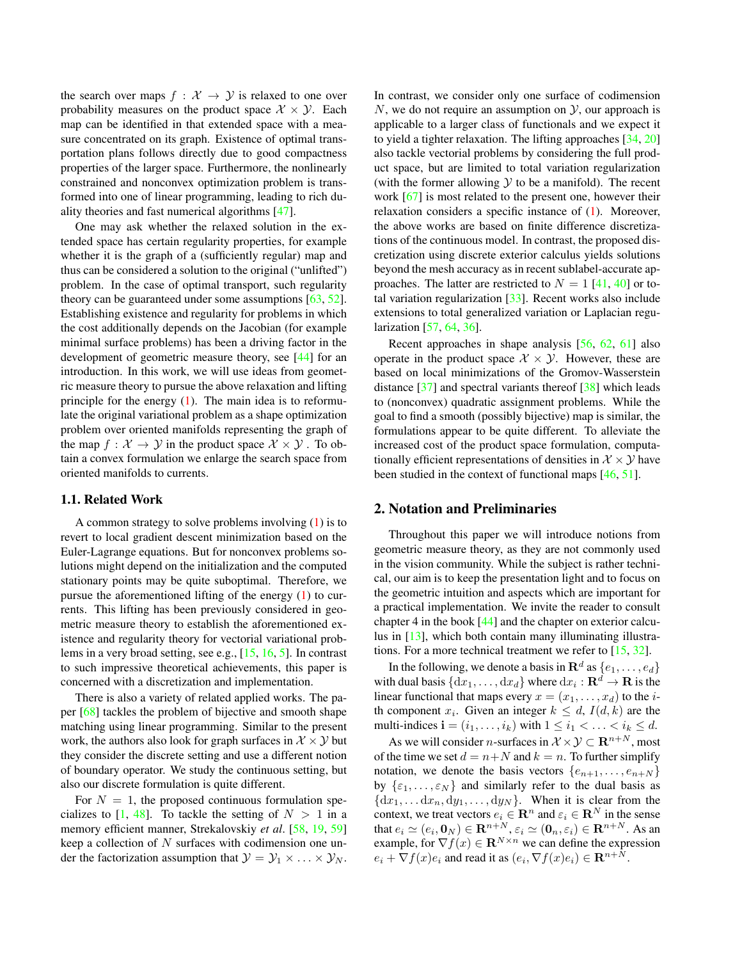<span id="page-1-0"></span>the search over maps  $f : \mathcal{X} \to \mathcal{Y}$  is relaxed to one over probability measures on the product space  $X \times Y$ . Each map can be identified in that extended space with a measure concentrated on its graph. Existence of optimal transportation plans follows directly due to good compactness properties of the larger space. Furthermore, the nonlinearly constrained and nonconvex optimization problem is transformed into one of linear programming, leading to rich duality theories and fast numerical algorithms [\[47\]](#page-9-10).

One may ask whether the relaxed solution in the extended space has certain regularity properties, for example whether it is the graph of a (sufficiently regular) map and thus can be considered a solution to the original ("unlifted") problem. In the case of optimal transport, such regularity theory can be guaranteed under some assumptions [\[63,](#page-9-11) [52\]](#page-9-12). Establishing existence and regularity for problems in which the cost additionally depends on the Jacobian (for example minimal surface problems) has been a driving factor in the development of geometric measure theory, see [\[44\]](#page-9-13) for an introduction. In this work, we will use ideas from geometric measure theory to pursue the above relaxation and lifting principle for the energy  $(1)$ . The main idea is to reformulate the original variational problem as a shape optimization problem over oriented manifolds representing the graph of the map  $f: \mathcal{X} \to \mathcal{Y}$  in the product space  $\mathcal{X} \times \mathcal{Y}$ . To obtain a convex formulation we enlarge the search space from oriented manifolds to currents.

# 1.1. Related Work

A common strategy to solve problems involving [\(1\)](#page-0-0) is to revert to local gradient descent minimization based on the Euler-Lagrange equations. But for nonconvex problems solutions might depend on the initialization and the computed stationary points may be quite suboptimal. Therefore, we pursue the aforementioned lifting of the energy  $(1)$  to currents. This lifting has been previously considered in geometric measure theory to establish the aforementioned existence and regularity theory for vectorial variational problems in a very broad setting, see e.g., [\[15,](#page-8-14) [16,](#page-8-15) [5\]](#page-8-16). In contrast to such impressive theoretical achievements, this paper is concerned with a discretization and implementation.

There is also a variety of related applied works. The paper [\[68\]](#page-9-14) tackles the problem of bijective and smooth shape matching using linear programming. Similar to the present work, the authors also look for graph surfaces in  $\mathcal{X} \times \mathcal{Y}$  but they consider the discrete setting and use a different notion of boundary operator. We study the continuous setting, but also our discrete formulation is quite different.

For  $N = 1$ , the proposed continuous formulation specializes to  $[1, 48]$  $[1, 48]$  $[1, 48]$ . To tackle the setting of  $N > 1$  in a memory efficient manner, Strekalovskiy *et al*. [\[58,](#page-9-16) [19,](#page-8-18) [59\]](#page-9-17) keep a collection of  $N$  surfaces with codimension one under the factorization assumption that  $\mathcal{Y} = \mathcal{Y}_1 \times \ldots \times \mathcal{Y}_N$ .

In contrast, we consider only one surface of codimension  $N$ , we do not require an assumption on  $\mathcal{Y}$ , our approach is applicable to a larger class of functionals and we expect it to yield a tighter relaxation. The lifting approaches [\[34,](#page-8-19) [20\]](#page-8-20) also tackle vectorial problems by considering the full product space, but are limited to total variation regularization (with the former allowing  $Y$  to be a manifold). The recent work [\[67\]](#page-9-18) is most related to the present one, however their relaxation considers a specific instance of [\(1\)](#page-0-0). Moreover, the above works are based on finite difference discretizations of the continuous model. In contrast, the proposed discretization using discrete exterior calculus yields solutions beyond the mesh accuracy as in recent sublabel-accurate approaches. The latter are restricted to  $N = 1$  [\[41,](#page-9-19) [40\]](#page-9-6) or total variation regularization [\[33\]](#page-8-21). Recent works also include extensions to total generalized variation or Laplacian regularization [\[57,](#page-9-20) [64,](#page-9-21) [36\]](#page-8-22).

Recent approaches in shape analysis [\[56,](#page-9-22) [62,](#page-9-23) [61\]](#page-9-24) also operate in the product space  $X \times Y$ . However, these are based on local minimizations of the Gromov-Wasserstein distance [\[37\]](#page-9-25) and spectral variants thereof [\[38\]](#page-9-26) which leads to (nonconvex) quadratic assignment problems. While the goal to find a smooth (possibly bijective) map is similar, the formulations appear to be quite different. To alleviate the increased cost of the product space formulation, computationally efficient representations of densities in  $\mathcal{X} \times \mathcal{Y}$  have been studied in the context of functional maps [\[46,](#page-9-27) [51\]](#page-9-28).

## 2. Notation and Preliminaries

Throughout this paper we will introduce notions from geometric measure theory, as they are not commonly used in the vision community. While the subject is rather technical, our aim is to keep the presentation light and to focus on the geometric intuition and aspects which are important for a practical implementation. We invite the reader to consult chapter 4 in the book [\[44\]](#page-9-13) and the chapter on exterior calculus in [\[13\]](#page-8-23), which both contain many illuminating illustrations. For a more technical treatment we refer to [\[15,](#page-8-14) [32\]](#page-8-24).

In the following, we denote a basis in  $\mathbf{R}^{d}$  as  $\{e_{1}, \ldots, e_{d}\}$ with dual basis  $\{ {\mathrm d} x_1, \ldots, {\mathrm d} x_d \}$  where  ${\mathrm d} x_i : {\mathbf R}^d \to {\mathbf R}$  is the linear functional that maps every  $x = (x_1, \ldots, x_d)$  to the *i*th component  $x_i$ . Given an integer  $k \leq d$ ,  $I(d, k)$  are the multi-indices  $\mathbf{i} = (i_1, \dots, i_k)$  with  $1 \leq i_1 < \dots < i_k \leq d$ .

As we will consider *n*-surfaces in  $\mathcal{X} \times \mathcal{Y} \subset \mathbb{R}^{n+N}$ , most of the time we set  $d = n + N$  and  $k = n$ . To further simplify notation, we denote the basis vectors  $\{e_{n+1}, \ldots, e_{n+N}\}\$ by  $\{\varepsilon_1, \ldots, \varepsilon_N\}$  and similarly refer to the dual basis as  $\{dx_1, \ldots dx_n, dy_1, \ldots, dy_N\}$ . When it is clear from the context, we treat vectors  $e_i \in \mathbf{R}^n$  and  $\varepsilon_i \in \mathbf{R}^N$  in the sense that  $e_i \simeq (e_i, \mathbf{0}_N) \in \mathbf{R}^{n+N}, \varepsilon_i \simeq (\mathbf{0}_n, \varepsilon_i) \in \mathbf{R}^{n+N}.$  As an example, for  $\nabla f(x) \in \mathbf{R}^{N \times n}$  we can define the expression  $e_i + \nabla f(x)e_i$  and read it as  $(e_i, \nabla f(x)e_i) \in \mathbf{R}^{n+N}$ .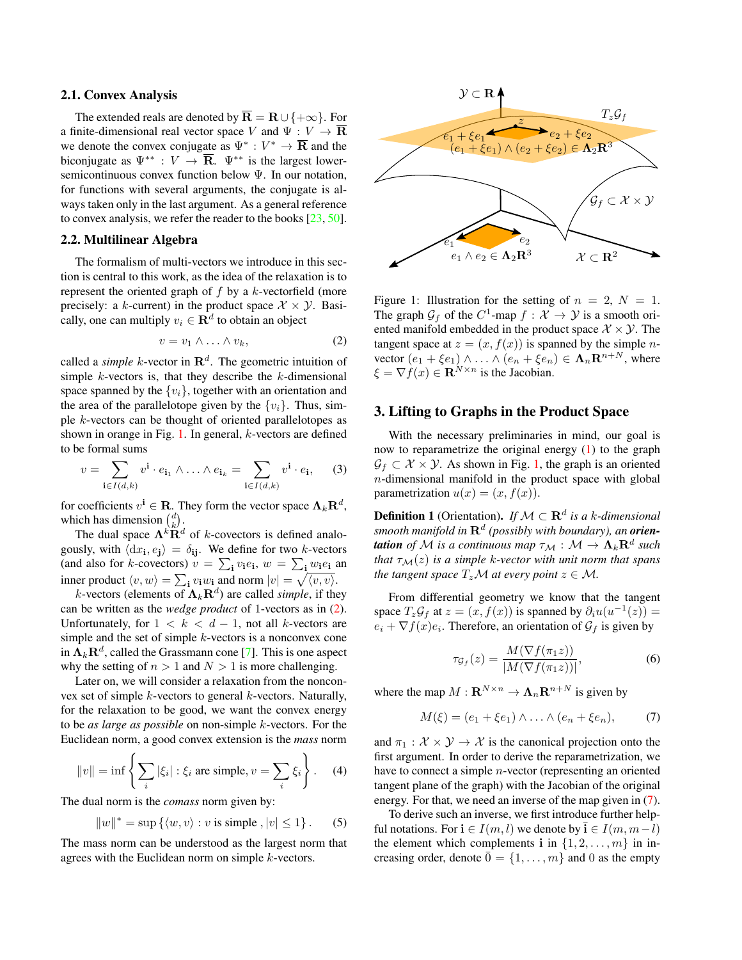#### <span id="page-2-5"></span>2.1. Convex Analysis

The extended reals are denoted by  $\overline{\mathbf{R}} = \mathbf{R} \cup \{+\infty\}$ . For a finite-dimensional real vector space V and  $\Psi : V \to \overline{\mathbf{R}}$ we denote the convex conjugate as  $\Psi^* : V^* \to \overline{\mathbf{R}}$  and the biconjugate as  $\Psi^{**} : V \to \overline{\mathbf{R}}$ .  $\Psi^{**}$  is the largest lowersemicontinuous convex function below Ψ. In our notation, for functions with several arguments, the conjugate is always taken only in the last argument. As a general reference to convex analysis, we refer the reader to the books [\[23,](#page-8-25) [50\]](#page-9-29).

## 2.2. Multilinear Algebra

The formalism of multi-vectors we introduce in this section is central to this work, as the idea of the relaxation is to represent the oriented graph of  $f$  by a  $k$ -vectorfield (more precisely: a k-current) in the product space  $X \times Y$ . Basically, one can multiply  $v_i \in \mathbf{R}^d$  to obtain an object

<span id="page-2-1"></span>
$$
v = v_1 \wedge \ldots \wedge v_k, \qquad (2)
$$

called a *simple* k-vector in  $\mathbb{R}^d$ . The geometric intuition of simple  $k$ -vectors is, that they describe the  $k$ -dimensional space spanned by the  $\{v_i\}$ , together with an orientation and the area of the parallelotope given by the  $\{v_i\}$ . Thus, simple k-vectors can be thought of oriented parallelotopes as shown in orange in Fig. [1.](#page-2-0) In general,  $k$ -vectors are defined to be formal sums

$$
v = \sum_{\mathbf{i} \in I(d,k)} v^{\mathbf{i}} \cdot e_{\mathbf{i}_1} \wedge \ldots \wedge e_{\mathbf{i}_k} = \sum_{\mathbf{i} \in I(d,k)} v^{\mathbf{i}} \cdot e_{\mathbf{i}}, \qquad (3)
$$

for coefficients  $v^i \in \mathbf{R}$ . They form the vector space  $\mathbf{\Lambda}_k \mathbf{R}^d$ , which has dimension  $\binom{d}{k}$ .

The dual space  $\Lambda^k \mathbf{R}^d$  of k-covectors is defined analogously, with  $\langle dx_i, e_j \rangle = \delta_{ij}$ . We define for two k-vectors (and also for *k*-covectors)  $v = \sum_i v_i e_i$ ,  $w = \sum_i w_i e_i$  and inner product  $\langle v, w \rangle = \sum_{\mathbf{i}} v_{\mathbf{i}} w_{\mathbf{i}}$  and norm  $|v| = \sqrt{\langle v, v \rangle}$ .

*k*-vectors (elements of  $\Lambda_k \mathbf{R}^d$ ) are called *simple*, if they can be written as the *wedge product* of 1-vectors as in [\(2\)](#page-2-1). Unfortunately, for  $1 < k < d-1$ , not all k-vectors are simple and the set of simple k-vectors is a nonconvex cone in  $\Lambda_k \mathbf{R}^d$ , called the Grassmann cone [\[7\]](#page-8-26). This is one aspect why the setting of  $n > 1$  and  $N > 1$  is more challenging.

Later on, we will consider a relaxation from the nonconvex set of simple k-vectors to general k-vectors. Naturally, for the relaxation to be good, we want the convex energy to be *as large as possible* on non-simple k-vectors. For the Euclidean norm, a good convex extension is the *mass* norm

<span id="page-2-3"></span>
$$
||v|| = \inf \left\{ \sum_{i} |\xi_i| : \xi_i \text{ are simple}, v = \sum_{i} \xi_i \right\}.
$$
 (4)

The dual norm is the *comass* norm given by:

$$
||w||^* = \sup \left\{ \langle w, v \rangle : v \text{ is simple }, |v| \le 1 \right\}. \tag{5}
$$

The mass norm can be understood as the largest norm that agrees with the Euclidean norm on simple k-vectors.

<span id="page-2-0"></span>

Figure 1: Illustration for the setting of  $n = 2$ ,  $N = 1$ . The graph  $\mathcal{G}_f$  of the  $C^1$ -map  $f : \mathcal{X} \to \mathcal{Y}$  is a smooth oriented manifold embedded in the product space  $\mathcal{X} \times \mathcal{Y}$ . The tangent space at  $z = (x, f(x))$  is spanned by the simple *n*vector  $(e_1 + \xi e_1) \wedge ... \wedge (e_n + \xi e_n) \in \Lambda_n \mathbb{R}^{n+N}$ , where  $\xi = \nabla f(x) \in \mathbf{R}^{N \times n}$  is the Jacobian.

### 3. Lifting to Graphs in the Product Space

With the necessary preliminaries in mind, our goal is now to reparametrize the original energy  $(1)$  to the graph  $\mathcal{G}_f \subset \mathcal{X} \times \mathcal{Y}$ . As shown in Fig. [1,](#page-2-0) the graph is an oriented n-dimensional manifold in the product space with global parametrization  $u(x) = (x, f(x))$ .

**Definition 1** (Orientation). *If*  $M \subset \mathbb{R}^d$  *is a k-dimensional smooth manifold in* R<sup>d</sup> *(possibly with boundary), an orien-* $\boldsymbol{t}$ *ation of*  ${\cal M}$  *is a continuous map*  $\tau_{\cal M}: {\cal M} \to \boldsymbol \Lambda_k \mathbf{R}^d$  such *that*  $\tau_{\mathcal{M}}(z)$  *is a simple k-vector with unit norm that spans the tangent space*  $T_zM$  *at every point*  $z \in M$ *.* 

From differential geometry we know that the tangent space  $T_z \mathcal{G}_f$  at  $z = (x, f(x))$  is spanned by  $\partial_i u(u^{-1}(z)) =$  $e_i + \nabla f(x)e_i$ . Therefore, an orientation of  $\mathcal{G}_f$  is given by

<span id="page-2-4"></span>
$$
\tau_{\mathcal{G}_f}(z) = \frac{M(\nabla f(\pi_1 z))}{|M(\nabla f(\pi_1 z))|},\tag{6}
$$

where the map  $M: \mathbf{R}^{N \times n} \to \Lambda_n \mathbf{R}^{n+N}$  is given by

<span id="page-2-2"></span>
$$
M(\xi) = (e_1 + \xi e_1) \wedge \ldots \wedge (e_n + \xi e_n), \tag{7}
$$

and  $\pi_1 : \mathcal{X} \times \mathcal{Y} \to \mathcal{X}$  is the canonical projection onto the first argument. In order to derive the reparametrization, we have to connect a simple *n*-vector (representing an oriented tangent plane of the graph) with the Jacobian of the original energy. For that, we need an inverse of the map given in [\(7\)](#page-2-2).

To derive such an inverse, we first introduce further helpful notations. For  $\mathbf{i} \in I(m, l)$  we denote by  $\mathbf{i} \in I(m, m-l)$ the element which complements i in  $\{1, 2, \ldots, m\}$  in increasing order, denote  $\overline{0} = \{1, \ldots, m\}$  and 0 as the empty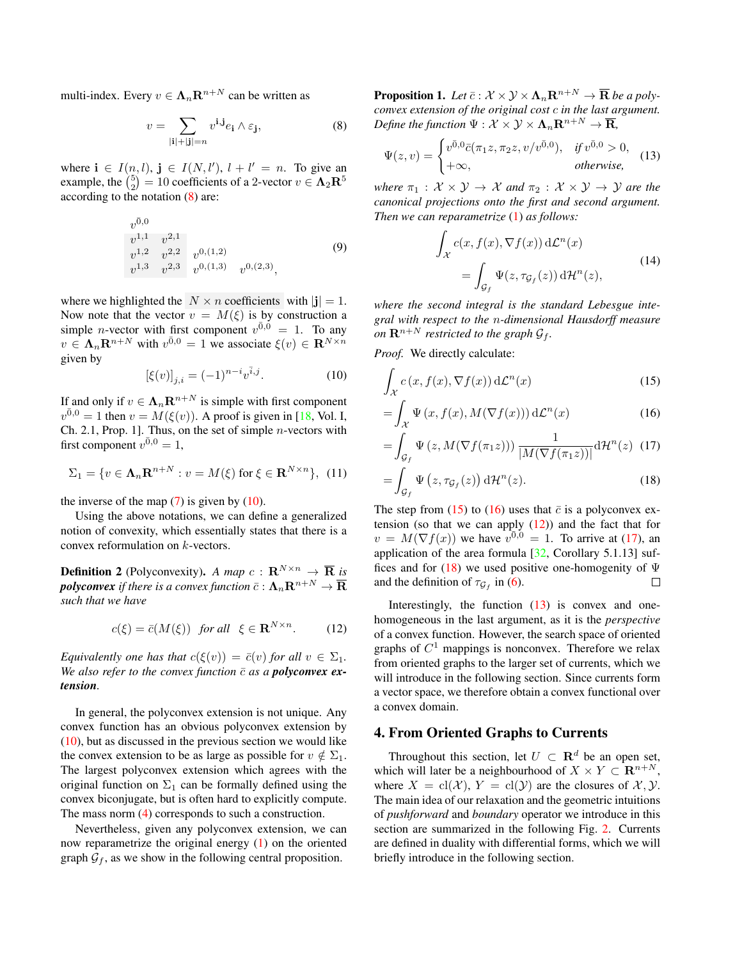<span id="page-3-9"></span>multi-index. Every  $v \in \Lambda_n \mathbf{R}^{n+N}$  can be written as

<span id="page-3-1"></span>
$$
v = \sum_{|\mathbf{i}| + |\mathbf{j}| = n} v^{\mathbf{i}, \mathbf{j}} e_{\mathbf{i}} \wedge \varepsilon_{\mathbf{j}}, \tag{8}
$$

where  $\mathbf{i} \in I(n, l)$ ,  $\mathbf{j} \in I(N, l')$ ,  $l + l' = n$ . To give an example, the  $\binom{5}{2} = 10$  coefficients of a 2-vector  $v \in \Lambda_2 \mathbb{R}^5$ according to the notation [\(8\)](#page-3-1) are:

$$
v^{0,0}
$$
  
\n
$$
v^{1,1} v^{2,1}
$$
  
\n
$$
v^{1,2} v^{2,2} v^{0,(1,2)}
$$
  
\n
$$
v^{1,3} v^{2,3} v^{0,(1,3)} v^{0,(2,3)},
$$
\n(9)

where we highlighted the  $N \times n$  coefficients with  $|\mathbf{j}| = 1$ . Now note that the vector  $v = M(\xi)$  is by construction a simple *n*-vector with first component  $v^{\overline{0},\overline{0}} = 1$ . To any  $v \in \Lambda_n \mathbf{R}^{n+N}$  with  $v^{\bar{0},0} = 1$  we associate  $\xi(v) \in \mathbf{R}^{N \times n}$ given by

<span id="page-3-2"></span>
$$
[\xi(v)]_{j,i} = (-1)^{n-i} v^{\bar{i},j}.
$$
 (10)

If and only if  $v \in \Lambda_n \mathbf{R}^{n+N}$  is simple with first component  $v^{0,0} = 1$  then  $v = M(\xi(v))$ . A proof is given in [\[18,](#page-8-27) Vol. I, Ch. 2.1, Prop. 1]. Thus, on the set of simple n-vectors with first component  $v^{\bar{0},0} = 1$ ,

$$
\Sigma_1 = \{ v \in \Lambda_n \mathbf{R}^{n+N} : v = M(\xi) \text{ for } \xi \in \mathbf{R}^{N \times n} \}, (11)
$$

the inverse of the map  $(7)$  is given by  $(10)$ .

Using the above notations, we can define a generalized notion of convexity, which essentially states that there is a convex reformulation on k-vectors.

**Definition 2** (Polyconvexity). *A map*  $c: \mathbf{R}^{N \times n} \to \overline{\mathbf{R}}$  *is polyconvex* if there is a convex function  $\bar{c}: \Lambda_n\mathbf{R}^{n+N} \to \overline{\mathbf{R}}$ *such that we have*

<span id="page-3-0"></span>
$$
c(\xi) = \bar{c}(M(\xi)) \quad \text{for all} \quad \xi \in \mathbf{R}^{N \times n}.\tag{12}
$$

*Equivalently one has that*  $c(\xi(v)) = \overline{c}(v)$  *for all*  $v \in \Sigma_1$ *. We also refer to the convex function*  $\bar{c}$  *as a polyconvex extension.*

In general, the polyconvex extension is not unique. Any convex function has an obvious polyconvex extension by  $(10)$ , but as discussed in the previous section we would like the convex extension to be as large as possible for  $v \notin \Sigma_1$ . The largest polyconvex extension which agrees with the original function on  $\Sigma_1$  can be formally defined using the convex biconjugate, but is often hard to explicitly compute. The mass norm [\(4\)](#page-2-3) corresponds to such a construction.

Nevertheless, given any polyconvex extension, we can now reparametrize the original energy [\(1\)](#page-0-0) on the oriented graph  $\mathcal{G}_f$ , as we show in the following central proposition.

**Proposition 1.** Let  $\bar{c}: \mathcal{X} \times \mathcal{Y} \times \Lambda_n \mathbf{R}^{n+N} \to \bar{\mathbf{R}}$  be a poly*convex extension of the original cost* c *in the last argument. Define the function*  $\Psi : \mathcal{X} \times \mathcal{Y} \times \Lambda_n \mathbf{R}^{n+N} \to \overline{\mathbf{R}}$ ,

<span id="page-3-7"></span>
$$
\Psi(z,v) = \begin{cases} v^{\bar{0},0}\bar{c}(\pi_1 z, \pi_2 z, v/v^{\bar{0},0}), & \text{if } v^{\bar{0},0} > 0, \\ +\infty, & \text{otherwise,} \end{cases}
$$
(13)

*where*  $\pi_1 : \mathcal{X} \times \mathcal{Y} \rightarrow \mathcal{X}$  *and*  $\pi_2 : \mathcal{X} \times \mathcal{Y} \rightarrow \mathcal{Y}$  *are the canonical projections onto the first and second argument. Then we can reparametrize* [\(1\)](#page-0-0) *as follows:*

<span id="page-3-8"></span><span id="page-3-3"></span>
$$
\int_{\mathcal{X}} c(x, f(x), \nabla f(x)) d\mathcal{L}^{n}(x)
$$
\n
$$
= \int_{\mathcal{G}_{f}} \Psi(z, \tau_{\mathcal{G}_{f}}(z)) d\mathcal{H}^{n}(z),
$$
\n(14)

*where the second integral is the standard Lebesgue integral with respect to the* n*-dimensional Hausdorff measure on*  $\mathbf{R}^{n+N}$  *restricted to the graph*  $\mathcal{G}_f$ *.* 

*Proof.* We directly calculate:

$$
\int_{\mathcal{X}} c(x, f(x), \nabla f(x)) d\mathcal{L}^n(x)
$$
\n(15)

$$
= \int_{\mathcal{X}} \Psi(x, f(x), M(\nabla f(x))) d\mathcal{L}^n(x)
$$
 (16)

<span id="page-3-5"></span><span id="page-3-4"></span>
$$
= \int_{\mathcal{G}_f} \Psi(z, M(\nabla f(\pi_1 z))) \, \frac{1}{|M(\nabla f(\pi_1 z))|} \mathrm{d} \mathcal{H}^n(z) \tag{17}
$$

<span id="page-3-6"></span>
$$
=\int_{\mathcal{G}_f} \Psi\left(z, \tau_{\mathcal{G}_f}(z)\right) d\mathcal{H}^n(z).
$$
\n(18)

The step from [\(15\)](#page-3-3) to [\(16\)](#page-3-4) uses that  $\bar{c}$  is a polyconvex extension (so that we can apply  $(12)$ ) and the fact that for  $v = M(\nabla f(x))$  we have  $v^{\overline{0},0} = 1$ . To arrive at [\(17\)](#page-3-5), an application of the area formula [\[32,](#page-8-24) Corollary 5.1.13] suf-fices and for [\(18\)](#page-3-6) we used positive one-homogenity of  $\Psi$ and the definition of  $\tau_{\mathcal{G}_f}$  in [\(6\)](#page-2-4). □

Interestingly, the function  $(13)$  is convex and onehomogeneous in the last argument, as it is the *perspective* of a convex function. However, the search space of oriented graphs of  $C<sup>1</sup>$  mappings is nonconvex. Therefore we relax from oriented graphs to the larger set of currents, which we will introduce in the following section. Since currents form a vector space, we therefore obtain a convex functional over a convex domain.

# 4. From Oriented Graphs to Currents

Throughout this section, let  $U \subset \mathbf{R}^d$  be an open set, which will later be a neighbourhood of  $X \times Y \subset \mathbb{R}^{n+N}$ , where  $X = cl(\mathcal{X}), Y = cl(\mathcal{Y})$  are the closures of  $\mathcal{X}, \mathcal{Y}$ . The main idea of our relaxation and the geometric intuitions of *pushforward* and *boundary* operator we introduce in this section are summarized in the following Fig. [2.](#page-4-0) Currents are defined in duality with differential forms, which we will briefly introduce in the following section.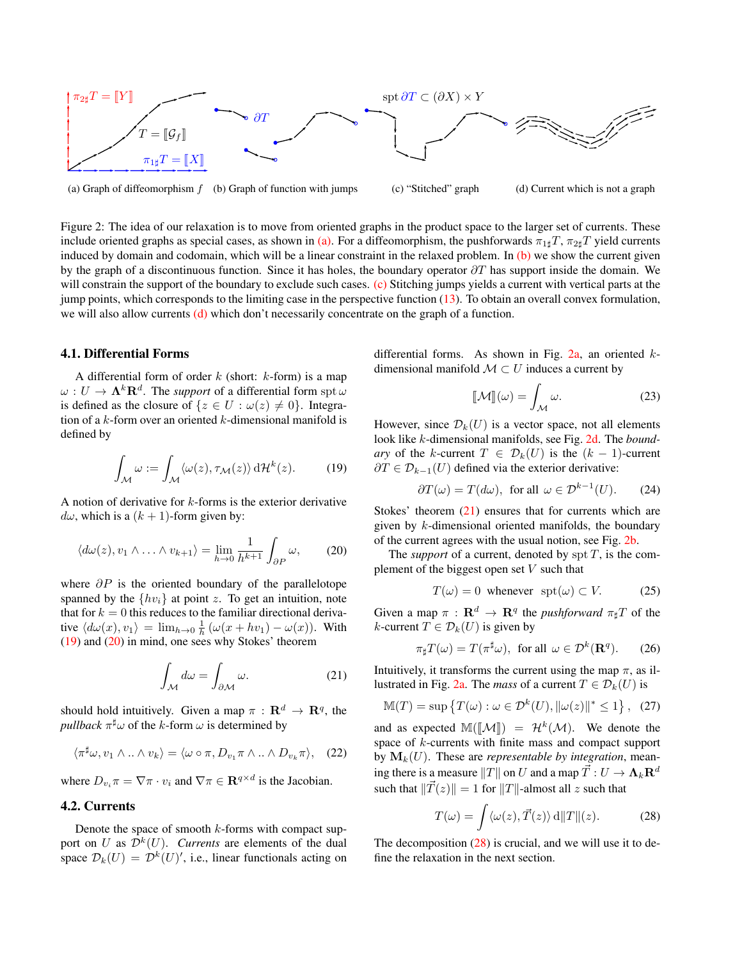<span id="page-4-0"></span>

(a) Graph of diffeomorphism  $f$  (b) Graph of function with jumps (c) "Stitched" graph (d) Current which is not a graph

Figure 2: The idea of our relaxation is to move from oriented graphs in the product space to the larger set of currents. These include oriented graphs as special cases, as shown in [\(a\).](#page-4-0) For a diffeomorphism, the pushforwards  $\pi_{1\sharp}T$ ,  $\pi_{2\sharp}T$  yield currents induced by domain and codomain, which will be a linear constraint in the relaxed problem. In  $(b)$  we show the current given by the graph of a discontinuous function. Since it has holes, the boundary operator  $\partial T$  has support inside the domain. We will constrain the support of the boundary to exclude such cases. [\(c\)](#page-4-0) Stitching jumps yields a current with vertical parts at the jump points, which corresponds to the limiting case in the perspective function [\(13\)](#page-3-7). To obtain an overall convex formulation, we will also allow currents [\(d\)](#page-4-0) which don't necessarily concentrate on the graph of a function.

#### 4.1. Differential Forms

A differential form of order  $k$  (short:  $k$ -form) is a map  $\omega: U \to \mathbf{\Lambda}^k\mathbf{R}^d$ . The *support* of a differential form  $\mathrm{spt}\,\omega$ is defined as the closure of  $\{z \in U : \omega(z) \neq 0\}$ . Integration of a  $k$ -form over an oriented  $k$ -dimensional manifold is defined by

<span id="page-4-1"></span>
$$
\int_{\mathcal{M}} \omega := \int_{\mathcal{M}} \langle \omega(z), \tau_{\mathcal{M}}(z) \rangle \, d\mathcal{H}^{k}(z). \tag{19}
$$

A notion of derivative for k-forms is the exterior derivative  $d\omega$ , which is a  $(k + 1)$ -form given by:

<span id="page-4-2"></span>
$$
\langle d\omega(z), v_1 \wedge \ldots \wedge v_{k+1} \rangle = \lim_{h \to 0} \frac{1}{h^{k+1}} \int_{\partial P} \omega, \qquad (20)
$$

where  $\partial P$  is the oriented boundary of the parallelotope spanned by the  $\{hv_i\}$  at point z. To get an intuition, note that for  $k = 0$  this reduces to the familiar directional derivative  $\langle d\omega(x), v_1 \rangle = \lim_{h \to 0} \frac{1}{h} \left( \omega(x + hv_1) - \omega(x) \right)$ . With [\(19\)](#page-4-1) and [\(20\)](#page-4-2) in mind, one sees why Stokes' theorem

<span id="page-4-3"></span>
$$
\int_{\mathcal{M}} d\omega = \int_{\partial \mathcal{M}} \omega.
$$
\n(21)

should hold intuitively. Given a map  $\pi : \mathbf{R}^d \to \mathbf{R}^q$ , the *pullback*  $\pi^{\sharp} \omega$  of the *k*-form  $\omega$  is determined by

$$
\langle \pi^{\sharp}\omega, v_1 \wedge \ldots \wedge v_k \rangle = \langle \omega \circ \pi, D_{v_1} \pi \wedge \ldots \wedge D_{v_k} \pi \rangle, \quad (22)
$$

where  $D_{v_i} \pi = \nabla \pi \cdot v_i$  and  $\nabla \pi \in \mathbf{R}^{q \times d}$  is the Jacobian.

# 4.2. Currents

Denote the space of smooth  $k$ -forms with compact support on U as  $\mathcal{D}^k(U)$ . *Currents* are elements of the dual space  $\mathcal{D}_k(U) = \mathcal{D}^k(U)'$ , i.e., linear functionals acting on differential forms. As shown in Fig.  $2a$ , an oriented  $k$ dimensional manifold  $\mathcal{M} \subset U$  induces a current by

$$
\llbracket \mathcal{M} \rrbracket(\omega) = \int_{\mathcal{M}} \omega.
$$
 (23)

However, since  $\mathcal{D}_k(U)$  is a vector space, not all elements look like k-dimensional manifolds, see Fig. [2d.](#page-4-0) The *boundary* of the k-current  $T \in \mathcal{D}_k(U)$  is the  $(k-1)$ -current  $\partial T \in \mathcal{D}_{k-1}(U)$  defined via the exterior derivative:

<span id="page-4-5"></span>
$$
\partial T(\omega) = T(d\omega), \text{ for all } \omega \in \mathcal{D}^{k-1}(U). \tag{24}
$$

Stokes' theorem  $(21)$  ensures that for currents which are given by k-dimensional oriented manifolds, the boundary of the current agrees with the usual notion, see Fig. [2b.](#page-4-0)

The *support* of a current, denoted by  $\text{spr } T$ , is the complement of the biggest open set  $V$  such that

$$
T(\omega) = 0 \text{ whenever } \text{spt}(\omega) \subset V. \tag{25}
$$

Given a map  $\pi$  :  $\mathbf{R}^d \to \mathbf{R}^q$  the *pushforward*  $\pi_\sharp T$  of the k-current  $T \in \mathcal{D}_k(U)$  is given by

$$
\pi_{\sharp} T(\omega) = T(\pi^{\sharp} \omega), \text{ for all } \omega \in \mathcal{D}^k(\mathbf{R}^q). \tag{26}
$$

Intuitively, it transforms the current using the map  $\pi$ , as il-lustrated in Fig. [2a.](#page-4-0) The *mass* of a current  $T \in \mathcal{D}_k(U)$  is

$$
\mathbb{M}(T) = \sup \left\{ T(\omega) : \omega \in \mathcal{D}^k(U), \|\omega(z)\|^* \le 1 \right\}, \tag{27}
$$

and as expected  $\mathbb{M}([\mathcal{M}]) = \mathcal{H}^k(\mathcal{M})$ . We denote the space of k-currents with finite mass and compact support by  $M_k(U)$ . These are *representable by integration*, meaning there is a measure  $||T||$  on U and a map  $\vec{T}: U \to \Lambda_k \mathbf{R}^d$ such that  $\|\vec{T}(z)\| = 1$  for  $\|T\|$ -almost all z such that

<span id="page-4-4"></span>
$$
T(\omega) = \int \langle \omega(z), \vec{T}(z) \rangle \, d\|T\|(z). \tag{28}
$$

The decomposition [\(28\)](#page-4-4) is crucial, and we will use it to define the relaxation in the next section.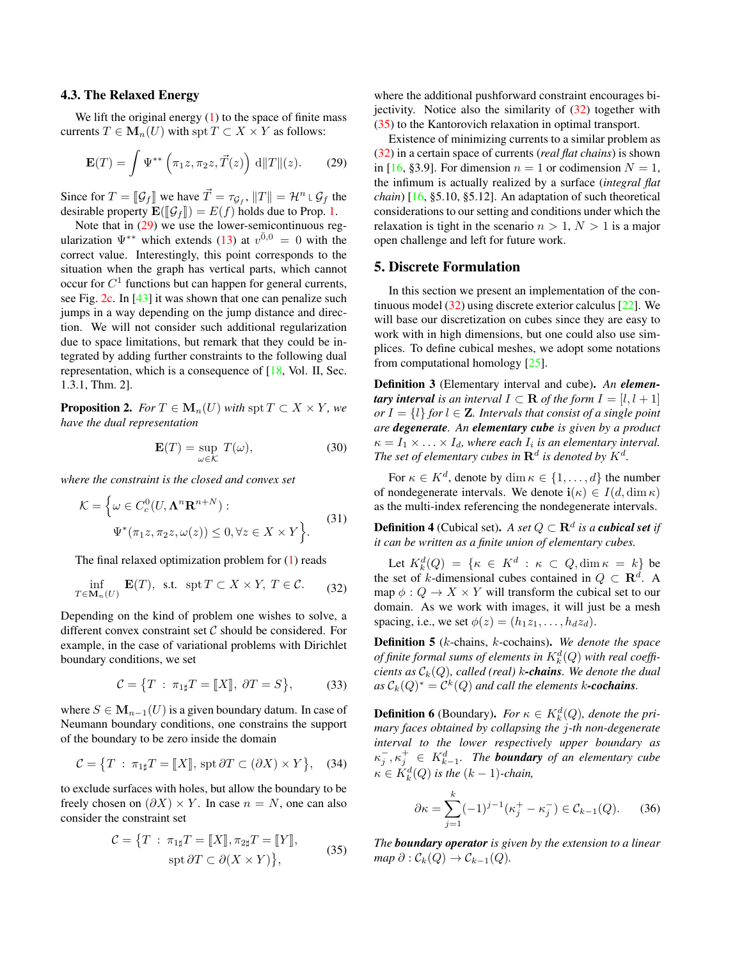#### <span id="page-5-5"></span>4.3. The Relaxed Energy

We lift the original energy  $(1)$  to the space of finite mass currents  $T \in M_n(U)$  with spt  $T \subset X \times Y$  as follows:

<span id="page-5-0"></span>
$$
\mathbf{E}(T) = \int \Psi^{**} \left( \pi_1 z, \pi_2 z, \vec{T}(z) \right) \, d||T||(z). \qquad (29)
$$

Since for  $T = [\mathcal{G}_f]$  we have  $\vec{T} = \tau_{\mathcal{G}_f}$ ,  $||T|| = \mathcal{H}^n \cup \mathcal{G}_f$  the desirable property  $\mathbf{F}(\mathcal{I} \cdot \mathcal{I}) = F(f)$  holds due to Prop. 1 desirable property  $\mathbf{E}(\llbracket \mathcal{G}_f \rrbracket) = E(f)$  holds due to Prop. [1.](#page-3-8)

Note that in [\(29\)](#page-5-0) we use the lower-semicontinuous regularization  $\Psi^{**}$  which extends [\(13\)](#page-3-7) at  $v^{\bar{0},0} = 0$  with the correct value. Interestingly, this point corresponds to the situation when the graph has vertical parts, which cannot occur for  $C<sup>1</sup>$  functions but can happen for general currents, see Fig. [2c.](#page-4-0) In [\[43\]](#page-9-30) it was shown that one can penalize such jumps in a way depending on the jump distance and direction. We will not consider such additional regularization due to space limitations, but remark that they could be integrated by adding further constraints to the following dual representation, which is a consequence of [\[18,](#page-8-27) Vol. II, Sec. 1.3.1, Thm. 2].

<span id="page-5-3"></span>**Proposition 2.** *For*  $T \in M_n(U)$  *with* spt  $T \subset X \times Y$ *, we have the dual representation*

<span id="page-5-4"></span>
$$
\mathbf{E}(T) = \sup_{\omega \in \mathcal{K}} T(\omega),\tag{30}
$$

*where the constraint is the closed and convex set*

$$
\mathcal{K} = \left\{ \omega \in C_c^0(U, \mathbf{\Lambda}^n \mathbf{R}^{n+N}) : \right. \n\Psi^*(\pi_1 z, \pi_2 z, \omega(z)) \le 0, \forall z \in X \times Y \right\}.
$$
\n(31)

The final relaxed optimization problem for [\(1\)](#page-0-0) reads

<span id="page-5-1"></span>
$$
\inf_{T \in \mathbf{M}_n(U)} \mathbf{E}(T), \text{ s.t. } \operatorname{spt} T \subset X \times Y, T \in \mathcal{C}. \tag{32}
$$

Depending on the kind of problem one wishes to solve, a different convex constraint set  $C$  should be considered. For example, in the case of variational problems with Dirichlet boundary conditions, we set

$$
\mathcal{C} = \{T : \pi_{1\sharp}T = [[X]], \partial T = S\},\qquad(33)
$$

where  $S \in M_{n-1}(U)$  is a given boundary datum. In case of Neumann boundary conditions, one constrains the support of the boundary to be zero inside the domain

$$
\mathcal{C} = \{ T : \pi_{1\sharp} T = [[X]], \text{ spt } \partial T \subset (\partial X) \times Y \}, \quad (34)
$$

to exclude surfaces with holes, but allow the boundary to be freely chosen on  $(\partial X) \times Y$ . In case  $n = N$ , one can also consider the constraint set

<span id="page-5-2"></span>
$$
\mathcal{C} = \{ T : \pi_{1\sharp} T = [[X]], \pi_{2\sharp} T = [[Y]],
$$
  
spt  $\partial T \subset \partial (X \times Y) \},$  (35)

where the additional pushforward constraint encourages bijectivity. Notice also the similarity of  $(32)$  together with [\(35\)](#page-5-2) to the Kantorovich relaxation in optimal transport.

Existence of minimizing currents to a similar problem as [\(32\)](#page-5-1) in a certain space of currents (*real flat chains*) is shown in [\[16,](#page-8-15) §3.9]. For dimension  $n = 1$  or codimension  $N = 1$ , the infimum is actually realized by a surface (*integral flat chain*) [\[16,](#page-8-15) §5.10, §5.12]. An adaptation of such theoretical considerations to our setting and conditions under which the relaxation is tight in the scenario  $n > 1$ ,  $N > 1$  is a major open challenge and left for future work.

## 5. Discrete Formulation

In this section we present an implementation of the continuous model [\(32\)](#page-5-1) using discrete exterior calculus [\[22\]](#page-8-28). We will base our discretization on cubes since they are easy to work with in high dimensions, but one could also use simplices. To define cubical meshes, we adopt some notations from computational homology [\[25\]](#page-8-29).

Definition 3 (Elementary interval and cube). *An elementary interval is an interval*  $I \subset \mathbf{R}$  *of the form*  $I = [l, l + 1]$ *or*  $I = \{l\}$  *for*  $l \in \mathbb{Z}$ *. Intervals that consist of a single point are degenerate. An elementary cube is given by a product*  $\kappa = I_1 \times \ldots \times I_d$ , where each  $I_i$  is an elementary interval. The set of elementary cubes in  $\mathbf{R}^{d}$  is denoted by  $K^{d}$ .

For  $\kappa \in K^d$ , denote by  $\dim \kappa \in \{1, \ldots, d\}$  the number of nondegenerate intervals. We denote  $\mathbf{i}(\kappa) \in I(d, \dim \kappa)$ as the multi-index referencing the nondegenerate intervals.

**Definition 4** (Cubical set). *A set*  $Q \subset \mathbf{R}^d$  *is a cubical set if it can be written as a finite union of elementary cubes.*

Let  $K_k^d(Q) = \{ \kappa \in K^d : \kappa \subset Q, \dim \kappa = k \}$  be the set of k-dimensional cubes contained in  $Q \subset \mathbb{R}^d$ . A map  $\phi: Q \to X \times Y$  will transform the cubical set to our domain. As we work with images, it will just be a mesh spacing, i.e., we set  $\phi(z) = (h_1 z_1, \dots, h_d z_d)$ .

Definition 5 (k-chains, k-cochains). *We denote the space* of finite formal sums of elements in  $K^d_k(Q)$  with real coeffi*cients as*  $C_k(Q)$ *, called (real)* k-chains. We denote the dual  $as \mathcal{C}_k(Q)^* = \mathcal{C}^k(Q)$  and call the elements k-cochains.

**Definition 6** (Boundary). *For*  $\kappa \in K^d_k(Q)$ , *denote the primary faces obtained by collapsing the* j*-th non-degenerate interval to the lower respectively upper boundary as*  $\kappa_j^-, \kappa_j^+ \in K_{k-1}^d$ . The **boundary** of an elementary cube  $\kappa \in K_k^d(Q)$  is the  $(k-1)$ -chain,

$$
\partial \kappa = \sum_{j=1}^{k} (-1)^{j-1} (\kappa_j^+ - \kappa_j^-) \in \mathcal{C}_{k-1}(Q). \tag{36}
$$

*The boundary operator is given by the extension to a linear map*  $\partial$  :  $C_k(Q) \rightarrow C_{k-1}(Q)$ .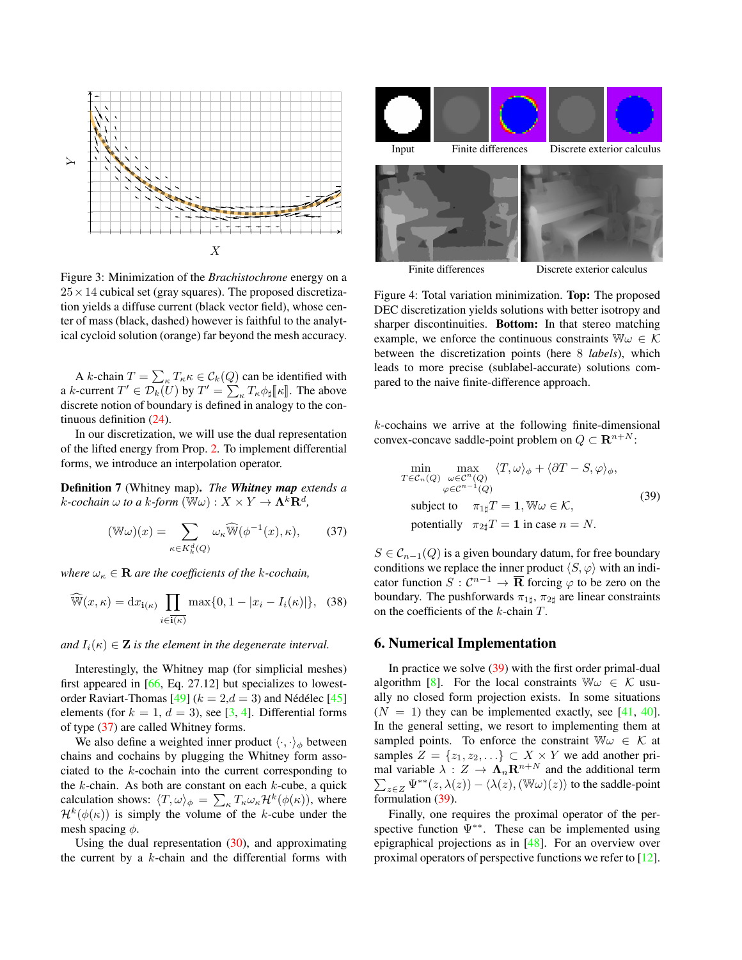<span id="page-6-4"></span><span id="page-6-2"></span>

Figure 3: Minimization of the *Brachistochrone* energy on a  $25 \times 14$  cubical set (gray squares). The proposed discretization yields a diffuse current (black vector field), whose center of mass (black, dashed) however is faithful to the analytical cycloid solution (orange) far beyond the mesh accuracy.

A k-chain  $T = \sum_{\kappa} T_{\kappa} \kappa \in C_k(Q)$  can be identified with a k-current  $T' \in \mathcal{D}_k(\mathcal{U})$  by  $T' = \sum_{\kappa} T_{\kappa} \phi_{\sharp} [\![\kappa]\!]$ . The above<br>discrete notion of boundary is defined in anglogy to the condiscrete notion of boundary is defined in analogy to the continuous definition [\(24\)](#page-4-5).

In our discretization, we will use the dual representation of the lifted energy from Prop. [2.](#page-5-3) To implement differential forms, we introduce an interpolation operator.

Definition 7 (Whitney map). *The Whitney map extends a*  $k$ -cochain  $\omega$  to a  $k$ -form  $(\overline{\mathbb{W}} \omega) : X \times Y \to \mathbf{\Lambda}^k \mathbf{R}^d$ ,

<span id="page-6-0"></span>
$$
(\mathbb{W}\omega)(x) = \sum_{\kappa \in K_k^d(Q)} \omega_\kappa \widehat{\mathbb{W}}(\phi^{-1}(x), \kappa), \qquad (37)
$$

*where*  $\omega_{\kappa} \in \mathbf{R}$  *are the coefficients of the k-cochain,* 

$$
\widehat{\mathbb{W}}(x,\kappa) = \mathrm{d}x_{\mathbf{i}(\kappa)} \prod_{i \in \mathbf{i}(\kappa)} \max\{0, 1 - |x_i - I_i(\kappa)|\}, \tag{38}
$$

*and*  $I_i(\kappa) \in \mathbf{Z}$  *is the element in the degenerate interval.* 

Interestingly, the Whitney map (for simplicial meshes) first appeared in [\[66,](#page-9-31) Eq. 27.12] but specializes to lowest-order Raviart-Thomas [\[49\]](#page-9-32) ( $k = 2, d = 3$ ) and Nédélec [\[45\]](#page-9-33) elements (for  $k = 1, d = 3$ ), see [\[3,](#page-8-30) [4\]](#page-8-31). Differential forms of type [\(37\)](#page-6-0) are called Whitney forms.

We also define a weighted inner product  $\langle \cdot, \cdot \rangle_{\phi}$  between chains and cochains by plugging the Whitney form associated to the k-cochain into the current corresponding to the  $k$ -chain. As both are constant on each  $k$ -cube, a quick calculation shows:  $\langle T, \omega \rangle_{\phi} = \sum_{\kappa} T_{\kappa} \omega_{\kappa} \mathcal{H}^{k}(\phi(\kappa))$ , where  $\mathcal{H}^{k}(\phi(\kappa))$  is simply the volume of the k-cube under the mesh spacing  $\phi$ .

Using the dual representation  $(30)$ , and approximating the current by a  $k$ -chain and the differential forms with

<span id="page-6-3"></span>

Finite differences Discrete exterior calculus

Figure 4: Total variation minimization. Top: The proposed DEC discretization yields solutions with better isotropy and sharper discontinuities. Bottom: In that stereo matching example, we enforce the continuous constraints  $\mathbb{W}\omega \in \mathcal{K}$ between the discretization points (here 8 *labels*), which leads to more precise (sublabel-accurate) solutions compared to the naive finite-difference approach.

 $k$ -cochains we arrive at the following finite-dimensional convex-concave saddle-point problem on  $Q \subset \mathbf{R}^{n+N}$ :

<span id="page-6-1"></span>
$$
\min_{T \in C_n(Q)} \max_{\omega \in C^n(Q)} \langle T, \omega \rangle_{\phi} + \langle \partial T - S, \varphi \rangle_{\phi},
$$
\n
$$
\varphi \in C^{n-1}(Q)
$$
\n
$$
\text{subject to} \quad \pi_{1\sharp} T = 1, \mathbb{W}\omega \in \mathcal{K},
$$
\n
$$
\text{potentially} \quad \pi_{2\sharp} T = 1 \text{ in case } n = N.
$$
\n(39)

 $S \in \mathcal{C}_{n-1}(Q)$  is a given boundary datum, for free boundary conditions we replace the inner product  $\langle S, \varphi \rangle$  with an indicator function  $S: \mathcal{C}^{n-1} \to \overline{\mathbf{R}}$  forcing  $\varphi$  to be zero on the boundary. The pushforwards  $\pi_{1\sharp}$ ,  $\pi_{2\sharp}$  are linear constraints on the coefficients of the k-chain T.

#### 6. Numerical Implementation

In practice we solve [\(39\)](#page-6-1) with the first order primal-dual algorithm [\[8\]](#page-8-32). For the local constraints  $\mathbb{W}\omega \in \mathcal{K}$  usually no closed form projection exists. In some situations  $(N = 1)$  they can be implemented exactly, see [\[41,](#page-9-19) [40\]](#page-9-6). In the general setting, we resort to implementing them at sampled points. To enforce the constraint  $\mathbb{W}\omega \in \mathcal{K}$  at samples  $Z = \{z_1, z_2, \ldots\} \subset X \times Y$  we add another primal variable  $\lambda: Z \to \Lambda_n \mathbf{R}^{n+N}$  and the additional term  $\sum_{z\in Z} \Psi^{**}(z,\lambda(z)) - \langle \lambda(z),(\mathbb{W}\omega)(z)\rangle$  to the saddle-point formulation [\(39\)](#page-6-1).

Finally, one requires the proximal operator of the perspective function  $\Psi^{**}$ . These can be implemented using epigraphical projections as in [\[48\]](#page-9-15). For an overview over proximal operators of perspective functions we refer to [\[12\]](#page-8-33).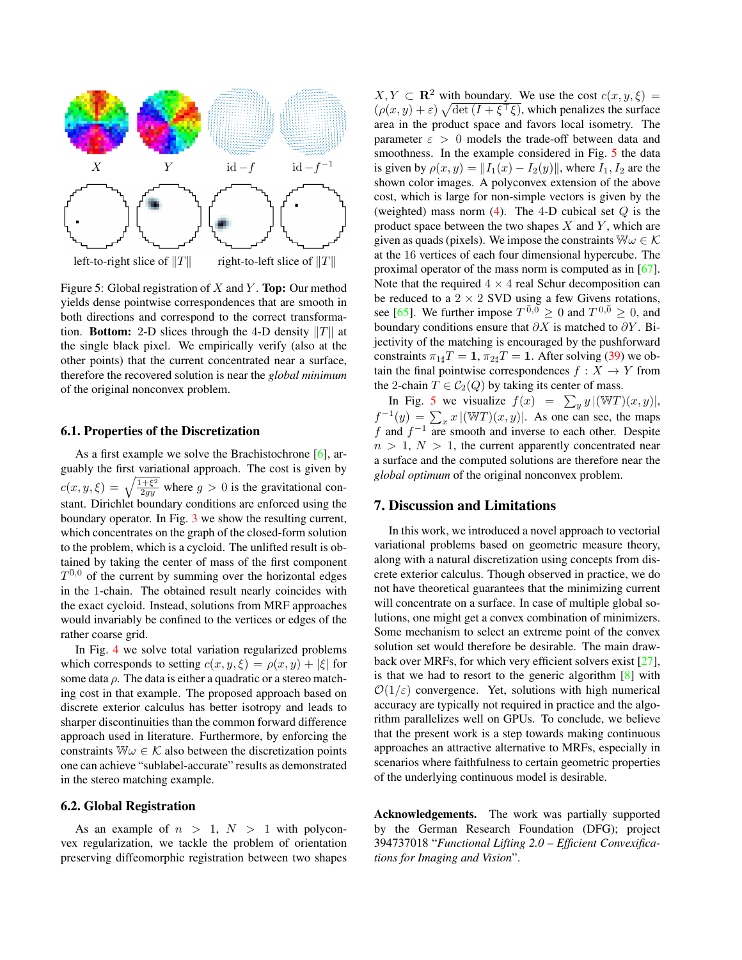<span id="page-7-1"></span><span id="page-7-0"></span>

Figure 5: Global registration of X and Y. **Top:** Our method yields dense pointwise correspondences that are smooth in both directions and correspond to the correct transformation. **Bottom:** 2-D slices through the 4-D density  $||T||$  at the single black pixel. We empirically verify (also at the other points) that the current concentrated near a surface, therefore the recovered solution is near the *global minimum* of the original nonconvex problem.

#### 6.1. Properties of the Discretization

As a first example we solve the Brachistochrone  $[6]$ , arguably the first variational approach. The cost is given by  $c(x, y, \xi) = \sqrt{\frac{1+\xi^2}{2gy}}$  where  $g > 0$  is the gravitational constant. Dirichlet boundary conditions are enforced using the boundary operator. In Fig. [3](#page-6-2) we show the resulting current, which concentrates on the graph of the closed-form solution to the problem, which is a cycloid. The unlifted result is obtained by taking the center of mass of the first component  $T^{\bar{0},0}$  of the current by summing over the horizontal edges in the 1-chain. The obtained result nearly coincides with the exact cycloid. Instead, solutions from MRF approaches would invariably be confined to the vertices or edges of the rather coarse grid.

In Fig. [4](#page-6-3) we solve total variation regularized problems which corresponds to setting  $c(x, y, \xi) = \rho(x, y) + |\xi|$  for some data  $\rho$ . The data is either a quadratic or a stereo matching cost in that example. The proposed approach based on discrete exterior calculus has better isotropy and leads to sharper discontinuities than the common forward difference approach used in literature. Furthermore, by enforcing the constraints  $\mathbb{W}\omega \in \mathcal{K}$  also between the discretization points one can achieve "sublabel-accurate" results as demonstrated in the stereo matching example.

## 6.2. Global Registration

As an example of  $n > 1$ ,  $N > 1$  with polyconvex regularization, we tackle the problem of orientation preserving diffeomorphic registration between two shapes  $X, Y \subset \mathbf{R}^2$  with boundary. We use the cost  $c(x, y, \xi) =$  $(\rho(x, y) + \varepsilon) \sqrt{\det(I + \xi^{\top} \xi)}$ , which penalizes the surface area in the product space and favors local isometry. The parameter  $\varepsilon > 0$  models the trade-off between data and smoothness. In the example considered in Fig. [5](#page-7-0) the data is given by  $\rho(x, y) = ||I_1(x) - I_2(y)||$ , where  $I_1, I_2$  are the shown color images. A polyconvex extension of the above cost, which is large for non-simple vectors is given by the (weighted) mass norm [\(4\)](#page-2-3). The 4-D cubical set  $Q$  is the product space between the two shapes  $X$  and  $Y$ , which are given as quads (pixels). We impose the constraints  $\mathbb{W}\omega \in \mathcal{K}$ at the 16 vertices of each four dimensional hypercube. The proximal operator of the mass norm is computed as in [\[67\]](#page-9-18). Note that the required  $4 \times 4$  real Schur decomposition can be reduced to a  $2 \times 2$  SVD using a few Givens rotations, see [\[65\]](#page-9-34). We further impose  $T^{\bar{0},\tilde{0}} \ge 0$  and  $T^{0,\bar{0}} \ge 0$ , and boundary conditions ensure that  $\partial X$  is matched to  $\partial Y$ . Bijectivity of the matching is encouraged by the pushforward constraints  $\pi_{1\sharp}T = 1$ ,  $\pi_{2\sharp}T = 1$ . After solving [\(39\)](#page-6-1) we obtain the final pointwise correspondences  $f : X \to Y$  from the 2-chain  $T \in C_2(Q)$  by taking its center of mass.

In Fig. [5](#page-7-0) we visualize  $f(x) = \sum_{y} y |(\mathbb{W}T)(x, y)|$ ,  $f^{-1}(y) = \sum_{x} x |(\mathbb{W}T)(x, y)|$ . As one can see, the maps f and  $f^{-1}$  are smooth and inverse to each other. Despite  $n > 1$ ,  $N > 1$ , the current apparently concentrated near a surface and the computed solutions are therefore near the *global optimum* of the original nonconvex problem.

# 7. Discussion and Limitations

In this work, we introduced a novel approach to vectorial variational problems based on geometric measure theory, along with a natural discretization using concepts from discrete exterior calculus. Though observed in practice, we do not have theoretical guarantees that the minimizing current will concentrate on a surface. In case of multiple global solutions, one might get a convex combination of minimizers. Some mechanism to select an extreme point of the convex solution set would therefore be desirable. The main drawback over MRFs, for which very efficient solvers exist [\[27\]](#page-8-35), is that we had to resort to the generic algorithm [\[8\]](#page-8-32) with  $\mathcal{O}(1/\varepsilon)$  convergence. Yet, solutions with high numerical accuracy are typically not required in practice and the algorithm parallelizes well on GPUs. To conclude, we believe that the present work is a step towards making continuous approaches an attractive alternative to MRFs, especially in scenarios where faithfulness to certain geometric properties of the underlying continuous model is desirable.

Acknowledgements. The work was partially supported by the German Research Foundation (DFG); project 394737018 "*Functional Lifting 2.0 – Efficient Convexifications for Imaging and Vision*".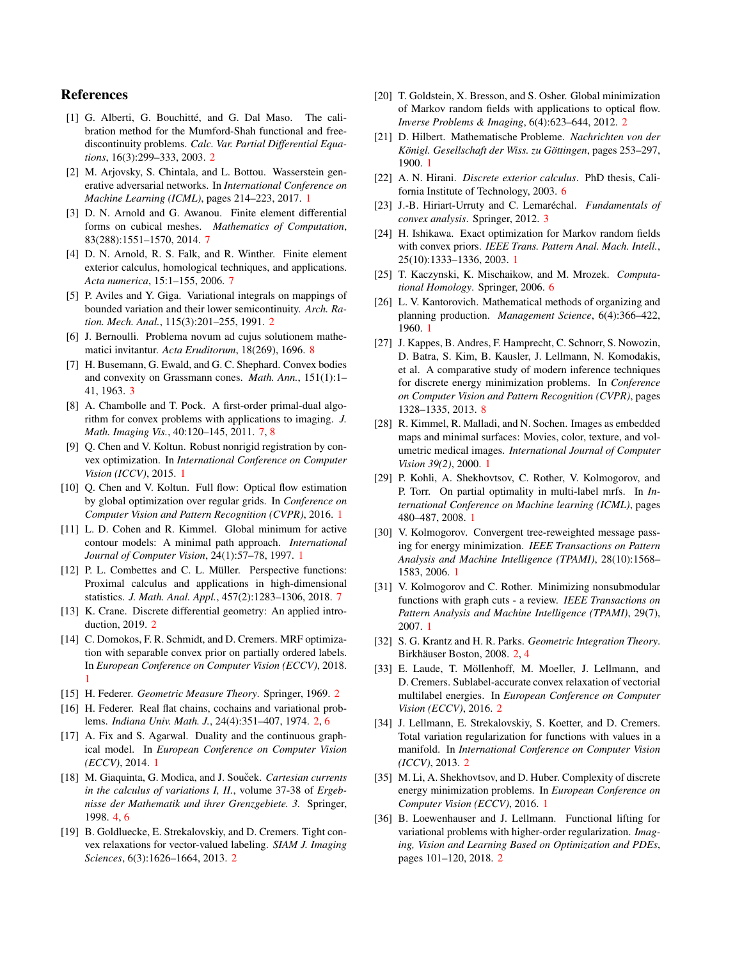# References

- <span id="page-8-17"></span>[1] G. Alberti, G. Bouchitté, and G. Dal Maso. The calibration method for the Mumford-Shah functional and freediscontinuity problems. *Calc. Var. Partial Differential Equations*, 16(3):299–333, 2003. [2](#page-1-0)
- <span id="page-8-10"></span>[2] M. Arjovsky, S. Chintala, and L. Bottou. Wasserstein generative adversarial networks. In *International Conference on Machine Learning (ICML)*, pages 214–223, 2017. [1](#page-0-2)
- <span id="page-8-30"></span>[3] D. N. Arnold and G. Awanou. Finite element differential forms on cubical meshes. *Mathematics of Computation*, 83(288):1551–1570, 2014. [7](#page-6-4)
- <span id="page-8-31"></span>[4] D. N. Arnold, R. S. Falk, and R. Winther. Finite element exterior calculus, homological techniques, and applications. *Acta numerica*, 15:1–155, 2006. [7](#page-6-4)
- <span id="page-8-16"></span>[5] P. Aviles and Y. Giga. Variational integrals on mappings of bounded variation and their lower semicontinuity. *Arch. Ration. Mech. Anal.*, 115(3):201–255, 1991. [2](#page-1-0)
- <span id="page-8-34"></span>[6] J. Bernoulli. Problema novum ad cujus solutionem mathematici invitantur. *Acta Eruditorum*, 18(269), 1696. [8](#page-7-1)
- <span id="page-8-26"></span>[7] H. Busemann, G. Ewald, and G. C. Shephard. Convex bodies and convexity on Grassmann cones. *Math. Ann.*, 151(1):1– 41, 1963. [3](#page-2-5)
- <span id="page-8-32"></span>[8] A. Chambolle and T. Pock. A first-order primal-dual algorithm for convex problems with applications to imaging. *J. Math. Imaging Vis.*, 40:120–145, 2011. [7,](#page-6-4) [8](#page-7-1)
- <span id="page-8-4"></span>[9] Q. Chen and V. Koltun. Robust nonrigid registration by convex optimization. In *International Conference on Computer Vision (ICCV)*, 2015. [1](#page-0-2)
- <span id="page-8-3"></span>[10] Q. Chen and V. Koltun. Full flow: Optical flow estimation by global optimization over regular grids. In *Conference on Computer Vision and Pattern Recognition (CVPR)*, 2016. [1](#page-0-2)
- <span id="page-8-0"></span>[11] L. D. Cohen and R. Kimmel. Global minimum for active contour models: A minimal path approach. *International Journal of Computer Vision*, 24(1):57–78, 1997. [1](#page-0-2)
- <span id="page-8-33"></span>[12] P. L. Combettes and C. L. Müller. Perspective functions: Proximal calculus and applications in high-dimensional statistics. *J. Math. Anal. Appl.*, 457(2):1283–1306, 2018. [7](#page-6-4)
- <span id="page-8-23"></span>[13] K. Crane. Discrete differential geometry: An applied introduction, 2019. [2](#page-1-0)
- <span id="page-8-8"></span>[14] C. Domokos, F. R. Schmidt, and D. Cremers. MRF optimization with separable convex prior on partially ordered labels. In *European Conference on Computer Vision (ECCV)*, 2018. [1](#page-0-2)
- <span id="page-8-14"></span>[15] H. Federer. *Geometric Measure Theory*. Springer, 1969. [2](#page-1-0)
- <span id="page-8-15"></span>[16] H. Federer. Real flat chains, cochains and variational problems. *Indiana Univ. Math. J.*, 24(4):351–407, 1974. [2,](#page-1-0) [6](#page-5-5)
- <span id="page-8-9"></span>[17] A. Fix and S. Agarwal. Duality and the continuous graphical model. In *European Conference on Computer Vision (ECCV)*, 2014. [1](#page-0-2)
- <span id="page-8-27"></span>[18] M. Giaquinta, G. Modica, and J. Souček. *Cartesian currents in the calculus of variations I, II.*, volume 37-38 of *Ergebnisse der Mathematik und ihrer Grenzgebiete. 3.* Springer, 1998. [4,](#page-3-9) [6](#page-5-5)
- <span id="page-8-18"></span>[19] B. Goldluecke, E. Strekalovskiy, and D. Cremers. Tight convex relaxations for vector-valued labeling. *SIAM J. Imaging Sciences*, 6(3):1626–1664, 2013. [2](#page-1-0)
- <span id="page-8-20"></span>[20] T. Goldstein, X. Bresson, and S. Osher. Global minimization of Markov random fields with applications to optical flow. *Inverse Problems & Imaging*, 6(4):623–644, 2012. [2](#page-1-0)
- <span id="page-8-12"></span>[21] D. Hilbert. Mathematische Probleme. *Nachrichten von der Königl. Gesellschaft der Wiss. zu Göttingen*, pages 253–297, 1900. [1](#page-0-2)
- <span id="page-8-28"></span>[22] A. N. Hirani. *Discrete exterior calculus*. PhD thesis, California Institute of Technology, 2003. [6](#page-5-5)
- <span id="page-8-25"></span>[23] J.-B. Hiriart-Urruty and C. Lemaréchal. *Fundamentals of convex analysis*. Springer, 2012. [3](#page-2-5)
- <span id="page-8-1"></span>[24] H. Ishikawa. Exact optimization for Markov random fields with convex priors. *IEEE Trans. Pattern Anal. Mach. Intell.*, 25(10):1333–1336, 2003. [1](#page-0-2)
- <span id="page-8-29"></span>[25] T. Kaczynski, K. Mischaikow, and M. Mrozek. *Computational Homology*. Springer, 2006. [6](#page-5-5)
- <span id="page-8-13"></span>[26] L. V. Kantorovich. Mathematical methods of organizing and planning production. *Management Science*, 6(4):366–422, 1960. [1](#page-0-2)
- <span id="page-8-35"></span>[27] J. Kappes, B. Andres, F. Hamprecht, C. Schnorr, S. Nowozin, D. Batra, S. Kim, B. Kausler, J. Lellmann, N. Komodakis, et al. A comparative study of modern inference techniques for discrete energy minimization problems. In *Conference on Computer Vision and Pattern Recognition (CVPR)*, pages 1328–1335, 2013. [8](#page-7-1)
- <span id="page-8-11"></span>[28] R. Kimmel, R. Malladi, and N. Sochen. Images as embedded maps and minimal surfaces: Movies, color, texture, and volumetric medical images. *International Journal of Computer Vision 39(2)*, 2000. [1](#page-0-2)
- <span id="page-8-7"></span>[29] P. Kohli, A. Shekhovtsov, C. Rother, V. Kolmogorov, and P. Torr. On partial optimality in multi-label mrfs. In *International Conference on Machine learning (ICML)*, pages 480–487, 2008. [1](#page-0-2)
- <span id="page-8-5"></span>[30] V. Kolmogorov. Convergent tree-reweighted message passing for energy minimization. *IEEE Transactions on Pattern Analysis and Machine Intelligence (TPAMI)*, 28(10):1568– 1583, 2006. [1](#page-0-2)
- <span id="page-8-6"></span>[31] V. Kolmogorov and C. Rother. Minimizing nonsubmodular functions with graph cuts - a review. *IEEE Transactions on Pattern Analysis and Machine Intelligence (TPAMI)*, 29(7), 2007. [1](#page-0-2)
- <span id="page-8-24"></span>[32] S. G. Krantz and H. R. Parks. *Geometric Integration Theory*. Birkhäuser Boston, 2008. [2,](#page-1-0) [4](#page-3-9)
- <span id="page-8-21"></span>[33] E. Laude, T. Möllenhoff, M. Moeller, J. Lellmann, and D. Cremers. Sublabel-accurate convex relaxation of vectorial multilabel energies. In *European Conference on Computer Vision (ECCV)*, 2016. [2](#page-1-0)
- <span id="page-8-19"></span>[34] J. Lellmann, E. Strekalovskiy, S. Koetter, and D. Cremers. Total variation regularization for functions with values in a manifold. In *International Conference on Computer Vision (ICCV)*, 2013. [2](#page-1-0)
- <span id="page-8-2"></span>[35] M. Li, A. Shekhovtsov, and D. Huber. Complexity of discrete energy minimization problems. In *European Conference on Computer Vision (ECCV)*, 2016. [1](#page-0-2)
- <span id="page-8-22"></span>[36] B. Loewenhauser and J. Lellmann. Functional lifting for variational problems with higher-order regularization. *Imaging, Vision and Learning Based on Optimization and PDEs*, pages 101–120, 2018. [2](#page-1-0)